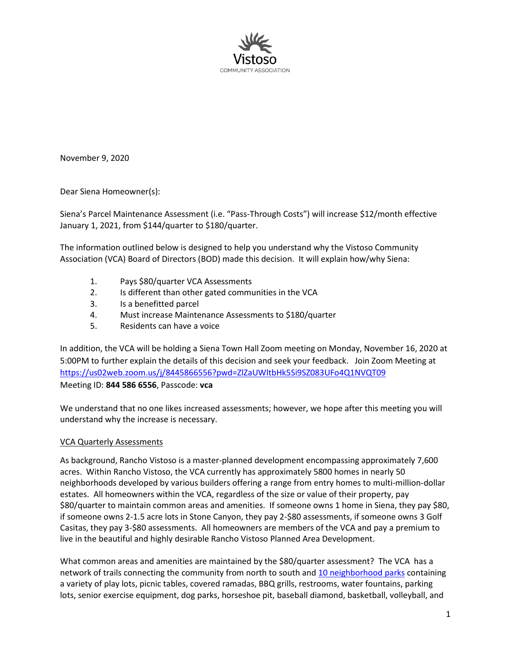

November 9, 2020

Dear Siena Homeowner(s):

Siena's Parcel Maintenance Assessment (i.e. "Pass-Through Costs") will increase \$12/month effective January 1, 2021, from \$144/quarter to \$180/quarter.

The information outlined below is designed to help you understand why the Vistoso Community Association (VCA) Board of Directors (BOD) made this decision. It will explain how/why Siena:

- 1. Pays \$80/quarter VCA Assessments
- 2. Is different than other gated communities in the VCA
- 3. Is a benefitted parcel
- 4. Must increase Maintenance Assessments to \$180/quarter
- 5. Residents can have a voice

In addition, the VCA will be holding a Siena Town Hall Zoom meeting on Monday, November 16, 2020 at 5:00PM to further explain the details of this decision and seek your feedback. Join Zoom Meeting at https://us02web.zoom.us/j/8445866556?pwd=ZlZaUWltbHk5Si9SZ083UFo4Q1NVQT09 Meeting ID: **844 586 6556**, Passcode: **vca**

We understand that no one likes increased assessments; however, we hope after this meeting you will understand why the increase is necessary.

#### VCA Quarterly Assessments

As background, Rancho Vistoso is a master-planned development encompassing approximately 7,600 acres. Within Rancho Vistoso, the VCA currently has approximately 5800 homes in nearly 50 neighborhoods developed by various builders offering a range from entry homes to multi-million-dollar estates. All homeowners within the VCA, regardless of the size or value of their property, pay \$80/quarter to maintain common areas and amenities. If someone owns 1 home in Siena, they pay \$80, if someone owns 2-1.5 acre lots in Stone Canyon, they pay 2-\$80 assessments, if someone owns 3 Golf Casitas, they pay 3-\$80 assessments. All homeowners are members of the VCA and pay a premium to live in the beautiful and highly desirable Rancho Vistoso Planned Area Development.

What common areas and amenities are maintained by the \$80/quarter assessment? The VCA has a network of trails connecting the community from north to south and 10 neighborhood parks containing a variety of play lots, picnic tables, covered ramadas, BBQ grills, restrooms, water fountains, parking lots, senior exercise equipment, dog parks, horseshoe pit, baseball diamond, basketball, volleyball, and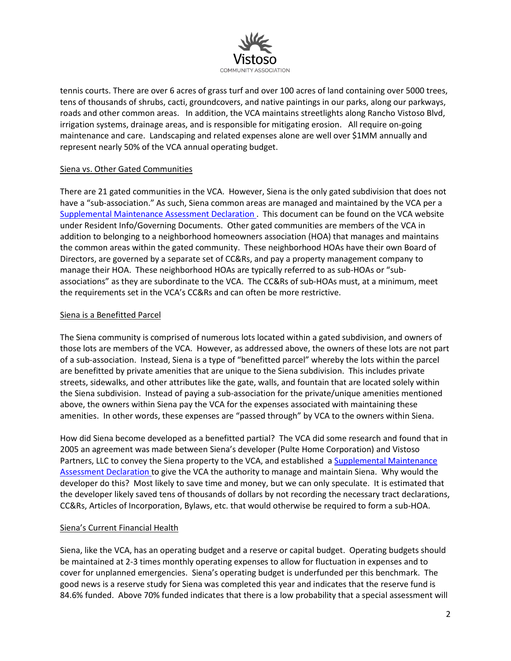

tennis courts. There are over 6 acres of grass turf and over 100 acres of land containing over 5000 trees, tens of thousands of shrubs, cacti, groundcovers, and native paintings in our parks, along our parkways, roads and other common areas. In addition, the VCA maintains streetlights along Rancho Vistoso Blvd, irrigation systems, drainage areas, and is responsible for mitigating erosion. All require on-going maintenance and care. Landscaping and related expenses alone are well over \$1MM annually and represent nearly 50% of the VCA annual operating budget.

### Siena vs. Other Gated Communities

There are 21 gated communities in the VCA. However, Siena is the only gated subdivision that does not have a "sub-association." As such, Siena common areas are managed and maintained by the VCA per a Supplemental Maintenance Assessment Declaration . This document can be found on the VCA website under Resident Info/Governing Documents. Other gated communities are members of the VCA in addition to belonging to a neighborhood homeowners association (HOA) that manages and maintains the common areas within the gated community. These neighborhood HOAs have their own Board of Directors, are governed by a separate set of CC&Rs, and pay a property management company to manage their HOA. These neighborhood HOAs are typically referred to as sub-HOAs or "subassociations" as they are subordinate to the VCA. The CC&Rs of sub-HOAs must, at a minimum, meet the requirements set in the VCA's CC&Rs and can often be more restrictive.

## Siena is a Benefitted Parcel

The Siena community is comprised of numerous lots located within a gated subdivision, and owners of those lots are members of the VCA. However, as addressed above, the owners of these lots are not part of a sub-association. Instead, Siena is a type of "benefitted parcel" whereby the lots within the parcel are benefitted by private amenities that are unique to the Siena subdivision. This includes private streets, sidewalks, and other attributes like the gate, walls, and fountain that are located solely within the Siena subdivision. Instead of paying a sub-association for the private/unique amenities mentioned above, the owners within Siena pay the VCA for the expenses associated with maintaining these amenities. In other words, these expenses are "passed through" by VCA to the owners within Siena.

How did Siena become developed as a benefitted partial? The VCA did some research and found that in 2005 an agreement was made between Siena's developer (Pulte Home Corporation) and Vistoso Partners, LLC to convey the Siena property to the VCA, and established a Supplemental Maintenance Assessment Declaration to give the VCA the authority to manage and maintain Siena. Why would the developer do this? Most likely to save time and money, but we can only speculate. It is estimated that the developer likely saved tens of thousands of dollars by not recording the necessary tract declarations, CC&Rs, Articles of Incorporation, Bylaws, etc. that would otherwise be required to form a sub-HOA.

### Siena's Current Financial Health

Siena, like the VCA, has an operating budget and a reserve or capital budget. Operating budgets should be maintained at 2-3 times monthly operating expenses to allow for fluctuation in expenses and to cover for unplanned emergencies. Siena's operating budget is underfunded per this benchmark. The good news is a reserve study for Siena was completed this year and indicates that the reserve fund is 84.6% funded. Above 70% funded indicates that there is a low probability that a special assessment will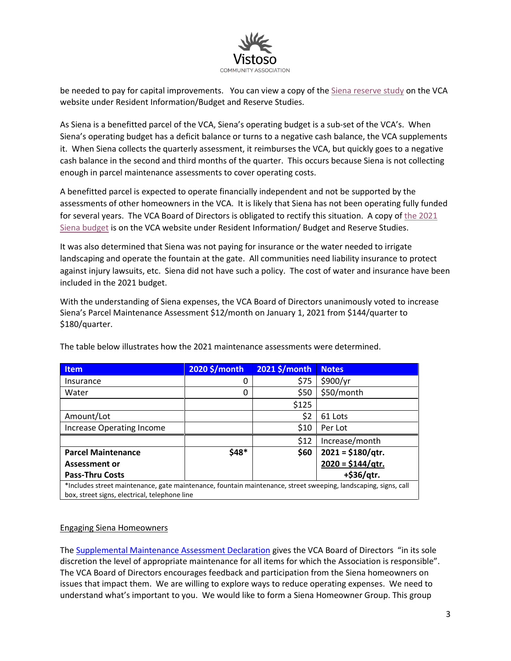

be needed to pay for capital improvements. You can view a copy of the Siena reserve study on the VCA website under Resident Information/Budget and Reserve Studies.

As Siena is a benefitted parcel of the VCA, Siena's operating budget is a sub-set of the VCA's. When Siena's operating budget has a deficit balance or turns to a negative cash balance, the VCA supplements it. When Siena collects the quarterly assessment, it reimburses the VCA, but quickly goes to a negative cash balance in the second and third months of the quarter. This occurs because Siena is not collecting enough in parcel maintenance assessments to cover operating costs.

A benefitted parcel is expected to operate financially independent and not be supported by the assessments of other homeowners in the VCA. It is likely that Siena has not been operating fully funded for several years. The VCA Board of Directors is obligated to rectify this situation. A copy of the 2021 Siena budget is on the VCA website under Resident Information/ Budget and Reserve Studies.

It was also determined that Siena was not paying for insurance or the water needed to irrigate landscaping and operate the fountain at the gate. All communities need liability insurance to protect against injury lawsuits, etc. Siena did not have such a policy. The cost of water and insurance have been included in the 2021 budget.

With the understanding of Siena expenses, the VCA Board of Directors unanimously voted to increase Siena's Parcel Maintenance Assessment \$12/month on January 1, 2021 from \$144/quarter to \$180/quarter.

| <b>Item</b>                                                                                                     | 2020 \$/month | 2021 \$/month | <b>Notes</b>       |
|-----------------------------------------------------------------------------------------------------------------|---------------|---------------|--------------------|
| Insurance                                                                                                       | 0             | \$75          | \$900/yr           |
| Water                                                                                                           | 0             | \$50          | \$50/month         |
|                                                                                                                 |               | \$125         |                    |
| Amount/Lot                                                                                                      |               | \$2           | 61 Lots            |
| Increase Operating Income                                                                                       |               | \$10          | Per Lot            |
|                                                                                                                 |               | \$12          | Increase/month     |
| <b>Parcel Maintenance</b>                                                                                       | \$48*         | \$60          | $2021 = $180/qtr.$ |
| <b>Assessment or</b>                                                                                            |               |               | $2020 = $144/qtr.$ |
| <b>Pass-Thru Costs</b>                                                                                          |               |               | +\$36/qtr.         |
| *Includes street maintenance, gate maintenance, fountain maintenance, street sweeping, landscaping, signs, call |               |               |                    |
| box, street signs, electrical, telephone line                                                                   |               |               |                    |

The table below illustrates how the 2021 maintenance assessments were determined.

#### Engaging Siena Homeowners

The Supplemental Maintenance Assessment Declaration gives the VCA Board of Directors "in its sole discretion the level of appropriate maintenance for all items for which the Association is responsible". The VCA Board of Directors encourages feedback and participation from the Siena homeowners on issues that impact them. We are willing to explore ways to reduce operating expenses. We need to understand what's important to you. We would like to form a Siena Homeowner Group. This group